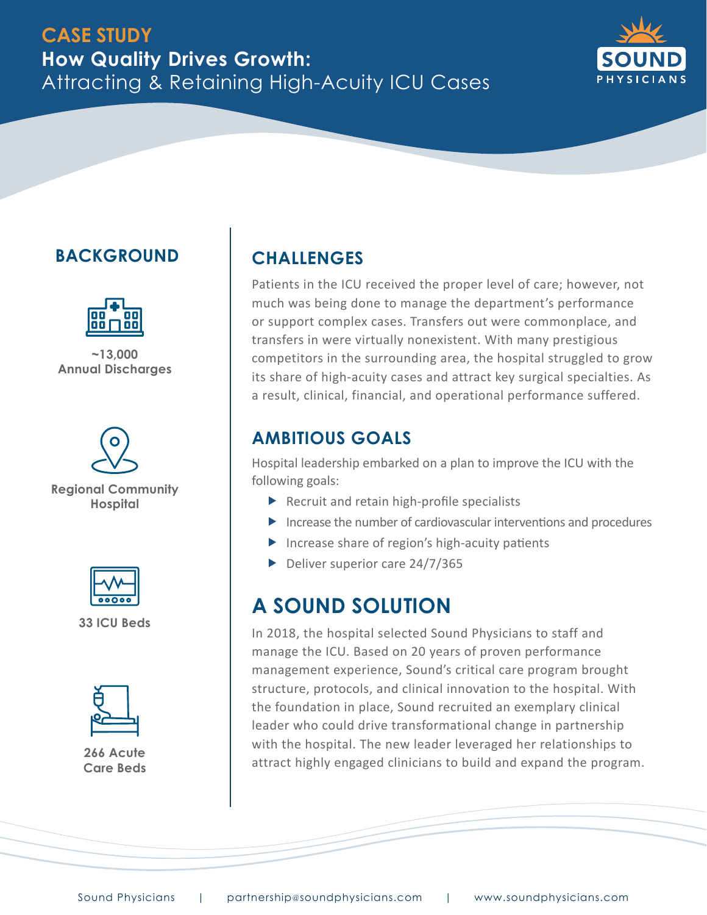

## **BACKGROUND**



**~13,000 Annual Discharges**



**Regional Community Hospital**



**33 ICU Beds**



**266 Acute Care Beds**

### **CHALLENGES**

Patients in the ICU received the proper level of care; however, not much was being done to manage the department's performance or support complex cases. Transfers out were commonplace, and transfers in were virtually nonexistent. With many prestigious competitors in the surrounding area, the hospital struggled to grow its share of high-acuity cases and attract key surgical specialties. As a result, clinical, financial, and operational performance suffered.

#### **AMBITIOUS GOALS**

Hospital leadership embarked on a plan to improve the ICU with the following goals:

- $\blacktriangleright$  Recruit and retain high-profile specialists
- $\triangleright$  Increase the number of cardiovascular interventions and procedures
- $\blacktriangleright$  Increase share of region's high-acuity patients
- $\triangleright$  Deliver superior care 24/7/365

## **A SOUND SOLUTION**

In 2018, the hospital selected Sound Physicians to staff and manage the ICU. Based on 20 years of proven performance management experience, Sound's critical care program brought structure, protocols, and clinical innovation to the hospital. With the foundation in place, Sound recruited an exemplary clinical leader who could drive transformational change in partnership with the hospital. The new leader leveraged her relationships to attract highly engaged clinicians to build and expand the program.